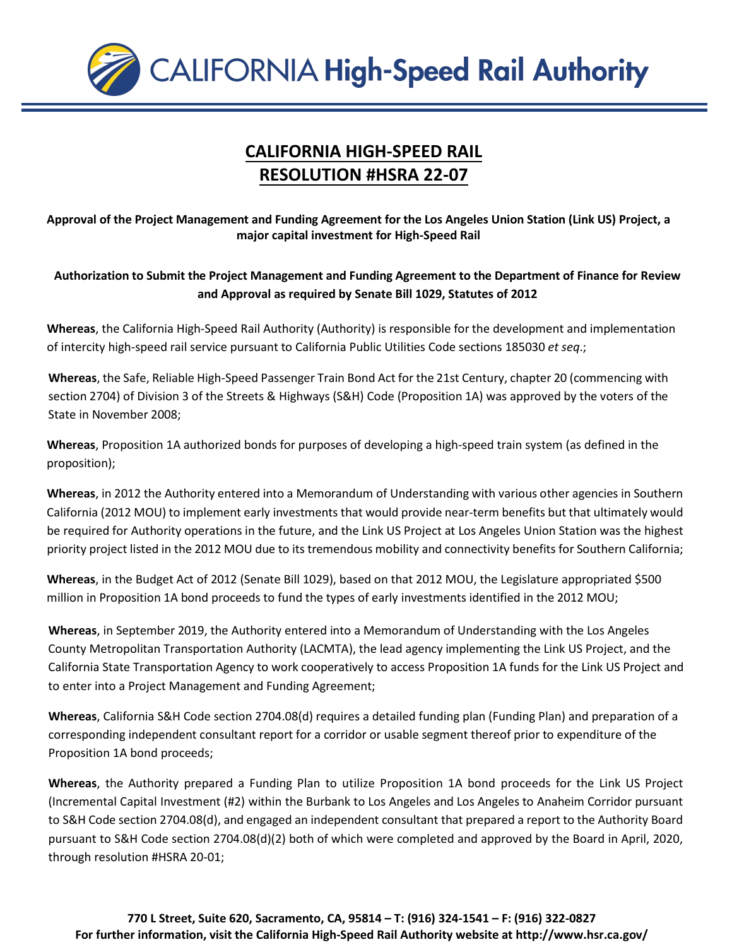

## **CALIFORNIA HIGH-SPEED RAIL RESOLUTION #HSRA 22-07**

**Approval of the Project Management and Funding Agreement for the Los Angeles Union Station (Link US) Project, a major capital investment for High-Speed Rail**

**Authorization to Submit the Project Management and Funding Agreement to the Department of Finance for Review and Approval as required by Senate Bill 1029, Statutes of 2012**

**Whereas**, the California High-Speed Rail Authority (Authority) is responsible for the development and implementation of intercity high-speed rail service pursuant to California Public Utilities Code sections 185030 *et seq*.;

**Whereas**, the Safe, Reliable High-Speed Passenger Train Bond Act for the 21st Century, chapter 20 (commencing with section 2704) of Division 3 of the Streets & Highways (S&H) Code (Proposition 1A) was approved by the voters of the State in November 2008;

**Whereas**, Proposition 1A authorized bonds for purposes of developing a high-speed train system (as defined in the proposition);

**Whereas**, in 2012 the Authority entered into a Memorandum of Understanding with various other agencies in Southern California (2012 MOU) to implement early investments that would provide near-term benefits but that ultimately would be required for Authority operations in the future, and the Link US Project at Los Angeles Union Station was the highest priority project listed in the 2012 MOU due to its tremendous mobility and connectivity benefits for Southern California;

**Whereas**, in the Budget Act of 2012 (Senate Bill 1029), based on that 2012 MOU, the Legislature appropriated \$500 million in Proposition 1A bond proceeds to fund the types of early investments identified in the 2012 MOU;

**Whereas**, in September 2019, the Authority entered into a Memorandum of Understanding with the Los Angeles County Metropolitan Transportation Authority (LACMTA), the lead agency implementing the Link US Project, and the California State Transportation Agency to work cooperatively to access Proposition 1A funds for the Link US Project and to enter into a Project Management and Funding Agreement;

**Whereas**, California S&H Code section 2704.08(d) requires a detailed funding plan (Funding Plan) and preparation of a corresponding independent consultant report for a corridor or usable segment thereof prior to expenditure of the Proposition 1A bond proceeds;

**Whereas**, the Authority prepared a Funding Plan to utilize Proposition 1A bond proceeds for the Link US Project (Incremental Capital Investment (#2) within the Burbank to Los Angeles and Los Angeles to Anaheim Corridor pursuant to S&H Code section 2704.08(d), and engaged an independent consultant that prepared a report to the Authority Board pursuant to S&H Code section 2704.08(d)(2) both of which were completed and approved by the Board in April, 2020, through resolution #HSRA 20-01;